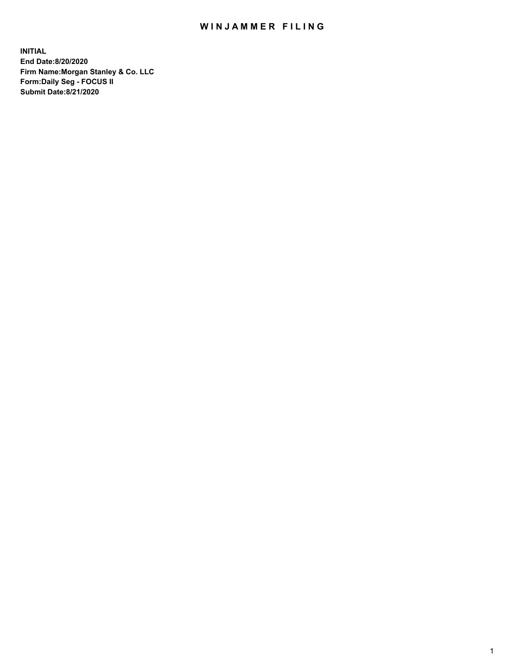## WIN JAMMER FILING

**INITIAL End Date:8/20/2020 Firm Name:Morgan Stanley & Co. LLC Form:Daily Seg - FOCUS II Submit Date:8/21/2020**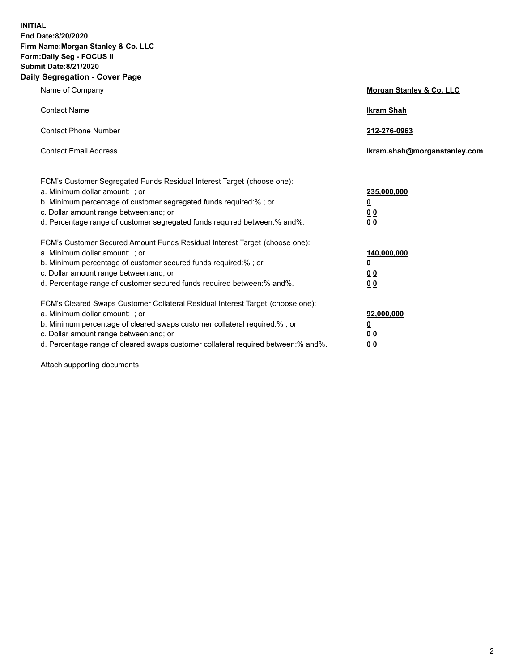**INITIAL End Date:8/20/2020 Firm Name:Morgan Stanley & Co. LLC Form:Daily Seg - FOCUS II Submit Date:8/21/2020 Daily Segregation - Cover Page**

| Name of Company                                                                                                                                                                                                                                                                                                               | Morgan Stanley & Co. LLC                               |
|-------------------------------------------------------------------------------------------------------------------------------------------------------------------------------------------------------------------------------------------------------------------------------------------------------------------------------|--------------------------------------------------------|
| <b>Contact Name</b>                                                                                                                                                                                                                                                                                                           | <b>Ikram Shah</b>                                      |
| <b>Contact Phone Number</b>                                                                                                                                                                                                                                                                                                   | 212-276-0963                                           |
| <b>Contact Email Address</b>                                                                                                                                                                                                                                                                                                  | Ikram.shah@morganstanley.com                           |
| FCM's Customer Segregated Funds Residual Interest Target (choose one):<br>a. Minimum dollar amount: ; or<br>b. Minimum percentage of customer segregated funds required:% ; or<br>c. Dollar amount range between: and; or<br>d. Percentage range of customer segregated funds required between:% and%.                        | 235,000,000<br><u>0</u><br><u>00</u><br>0 <sup>0</sup> |
| FCM's Customer Secured Amount Funds Residual Interest Target (choose one):<br>a. Minimum dollar amount: ; or<br>b. Minimum percentage of customer secured funds required:%; or<br>c. Dollar amount range between: and; or<br>d. Percentage range of customer secured funds required between:% and%.                           | 140,000,000<br><u>0</u><br><u>00</u><br>0 <sub>0</sub> |
| FCM's Cleared Swaps Customer Collateral Residual Interest Target (choose one):<br>a. Minimum dollar amount: ; or<br>b. Minimum percentage of cleared swaps customer collateral required:%; or<br>c. Dollar amount range between: and; or<br>d. Percentage range of cleared swaps customer collateral required between:% and%. | 92,000,000<br><u>0</u><br>0 Q<br>00                    |

Attach supporting documents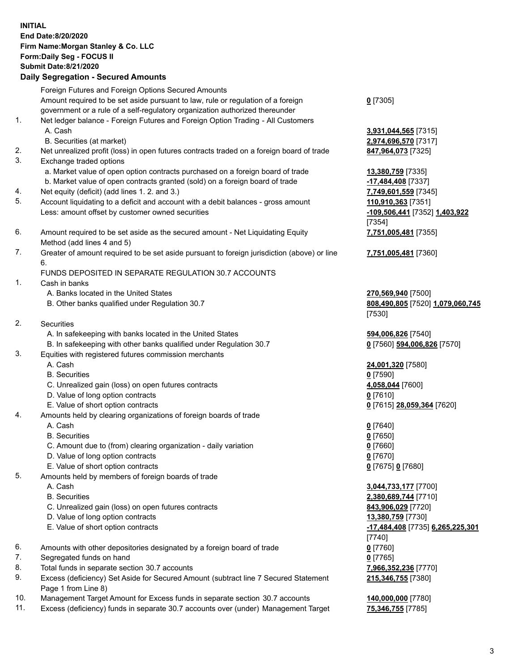| <b>INITIAL</b> | End Date:8/20/2020<br>Firm Name: Morgan Stanley & Co. LLC<br>Form: Daily Seg - FOCUS II<br><b>Submit Date:8/21/2020</b><br><b>Daily Segregation - Secured Amounts</b> |                                                     |
|----------------|-----------------------------------------------------------------------------------------------------------------------------------------------------------------------|-----------------------------------------------------|
|                | Foreign Futures and Foreign Options Secured Amounts                                                                                                                   |                                                     |
|                | Amount required to be set aside pursuant to law, rule or regulation of a foreign                                                                                      | $0$ [7305]                                          |
|                | government or a rule of a self-regulatory organization authorized thereunder                                                                                          |                                                     |
| 1.             | Net ledger balance - Foreign Futures and Foreign Option Trading - All Customers<br>A. Cash                                                                            | 3,931,044,565 [7315]                                |
|                | B. Securities (at market)                                                                                                                                             | 2,974,696,570 [7317]                                |
| 2.             | Net unrealized profit (loss) in open futures contracts traded on a foreign board of trade                                                                             | 847,964,073 [7325]                                  |
| 3.             | Exchange traded options                                                                                                                                               |                                                     |
|                | a. Market value of open option contracts purchased on a foreign board of trade                                                                                        | <b>13,380,759</b> [7335]                            |
|                | b. Market value of open contracts granted (sold) on a foreign board of trade                                                                                          | -17,484,408 [7337]                                  |
| 4.<br>5.       | Net equity (deficit) (add lines 1. 2. and 3.)<br>Account liquidating to a deficit and account with a debit balances - gross amount                                    | 7,749,601,559 [7345]                                |
|                | Less: amount offset by customer owned securities                                                                                                                      | 110,910,363 [7351]<br>-109,506,441 [7352] 1,403,922 |
|                |                                                                                                                                                                       | [7354]                                              |
| 6.             | Amount required to be set aside as the secured amount - Net Liquidating Equity                                                                                        | 7,751,005,481 [7355]                                |
|                | Method (add lines 4 and 5)                                                                                                                                            |                                                     |
| 7.             | Greater of amount required to be set aside pursuant to foreign jurisdiction (above) or line                                                                           | 7,751,005,481 [7360]                                |
|                | 6.<br>FUNDS DEPOSITED IN SEPARATE REGULATION 30.7 ACCOUNTS                                                                                                            |                                                     |
| 1.             | Cash in banks                                                                                                                                                         |                                                     |
|                | A. Banks located in the United States                                                                                                                                 | 270,569,940 [7500]                                  |
|                | B. Other banks qualified under Regulation 30.7                                                                                                                        | 808,490,805 [7520] 1,079,060,745                    |
|                |                                                                                                                                                                       | [7530]                                              |
| 2.             | <b>Securities</b>                                                                                                                                                     |                                                     |
|                | A. In safekeeping with banks located in the United States                                                                                                             | 594,006,826 [7540]                                  |
| 3.             | B. In safekeeping with other banks qualified under Regulation 30.7<br>Equities with registered futures commission merchants                                           | 0 [7560] 594,006,826 [7570]                         |
|                | A. Cash                                                                                                                                                               | 24,001,320 [7580]                                   |
|                | <b>B.</b> Securities                                                                                                                                                  | $0$ [7590]                                          |
|                | C. Unrealized gain (loss) on open futures contracts                                                                                                                   | 4,058,044 [7600]                                    |
|                | D. Value of long option contracts                                                                                                                                     | $0$ [7610]                                          |
|                | E. Value of short option contracts                                                                                                                                    | 0 [7615] 28,059,364 [7620]                          |
| 4.             | Amounts held by clearing organizations of foreign boards of trade<br>A. Cash                                                                                          | $0$ [7640]                                          |
|                | <b>B.</b> Securities                                                                                                                                                  | $0$ [7650]                                          |
|                | C. Amount due to (from) clearing organization - daily variation                                                                                                       | $0$ [7660]                                          |
|                | D. Value of long option contracts                                                                                                                                     | $0$ [7670]                                          |
|                | E. Value of short option contracts                                                                                                                                    | 0 [7675] 0 [7680]                                   |
| 5.             | Amounts held by members of foreign boards of trade<br>A. Cash                                                                                                         |                                                     |
|                | <b>B.</b> Securities                                                                                                                                                  | 3,044,733,177 [7700]<br>2,380,689,744 [7710]        |
|                | C. Unrealized gain (loss) on open futures contracts                                                                                                                   | 843,906,029 [7720]                                  |
|                | D. Value of long option contracts                                                                                                                                     | 13,380,759 [7730]                                   |
|                | E. Value of short option contracts                                                                                                                                    | -17,484,408 [7735] 6,265,225,301                    |
|                |                                                                                                                                                                       | [7740]                                              |
| 6.             | Amounts with other depositories designated by a foreign board of trade                                                                                                | $0$ [7760]                                          |
| 7.<br>8.       | Segregated funds on hand<br>Total funds in separate section 30.7 accounts                                                                                             | $0$ [7765]<br>7,966,352,236 [7770]                  |
| 9.             | Excess (deficiency) Set Aside for Secured Amount (subtract line 7 Secured Statement                                                                                   | 215,346,755 [7380]                                  |
|                | Page 1 from Line 8)                                                                                                                                                   |                                                     |

- 10. Management Target Amount for Excess funds in separate section 30.7 accounts **140,000,000** [7780]
- 11. Excess (deficiency) funds in separate 30.7 accounts over (under) Management Target **75,346,755** [7785]

380]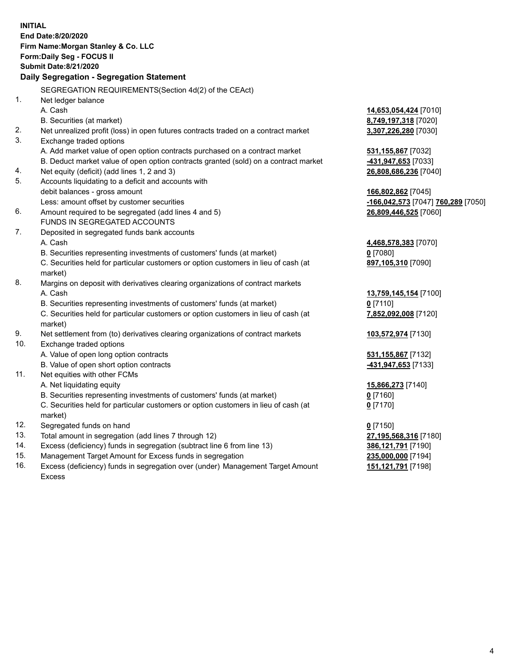| <b>INITIAL</b> | End Date:8/20/2020<br>Firm Name: Morgan Stanley & Co. LLC<br>Form: Daily Seg - FOCUS II<br><b>Submit Date:8/21/2020</b><br>Daily Segregation - Segregation Statement |                                    |
|----------------|----------------------------------------------------------------------------------------------------------------------------------------------------------------------|------------------------------------|
|                | SEGREGATION REQUIREMENTS(Section 4d(2) of the CEAct)                                                                                                                 |                                    |
| 1.             | Net ledger balance                                                                                                                                                   |                                    |
|                | A. Cash                                                                                                                                                              | 14,653,054,424 [7010]              |
|                | B. Securities (at market)                                                                                                                                            | 8,749,197,318 [7020]               |
| 2.             | Net unrealized profit (loss) in open futures contracts traded on a contract market                                                                                   | 3,307,226,280 [7030]               |
| 3.             | Exchange traded options                                                                                                                                              |                                    |
|                | A. Add market value of open option contracts purchased on a contract market                                                                                          | 531,155,867 [7032]                 |
|                | B. Deduct market value of open option contracts granted (sold) on a contract market                                                                                  | -431,947,653 [7033]                |
| 4.             | Net equity (deficit) (add lines 1, 2 and 3)                                                                                                                          | 26,808,686,236 [7040]              |
| 5.             | Accounts liquidating to a deficit and accounts with                                                                                                                  |                                    |
|                | debit balances - gross amount                                                                                                                                        | 166,802,862 [7045]                 |
|                | Less: amount offset by customer securities                                                                                                                           | -166,042,573 [7047] 760,289 [7050] |
| 6.             | Amount required to be segregated (add lines 4 and 5)                                                                                                                 | 26,809,446,525 [7060]              |
|                | FUNDS IN SEGREGATED ACCOUNTS                                                                                                                                         |                                    |
| 7.             | Deposited in segregated funds bank accounts                                                                                                                          |                                    |
|                | A. Cash                                                                                                                                                              | 4,468,578,383 [7070]               |
|                | B. Securities representing investments of customers' funds (at market)                                                                                               | $0$ [7080]                         |
|                | C. Securities held for particular customers or option customers in lieu of cash (at<br>market)                                                                       | 897,105,310 [7090]                 |
| 8.             | Margins on deposit with derivatives clearing organizations of contract markets                                                                                       |                                    |
|                | A. Cash                                                                                                                                                              | 13,759,145,154 [7100]              |
|                | B. Securities representing investments of customers' funds (at market)                                                                                               | $0$ [7110]                         |
|                | C. Securities held for particular customers or option customers in lieu of cash (at<br>market)                                                                       | 7,852,092,008 [7120]               |
| 9.             | Net settlement from (to) derivatives clearing organizations of contract markets                                                                                      | 103,572,974 [7130]                 |
| 10.            | Exchange traded options                                                                                                                                              |                                    |
|                | A. Value of open long option contracts                                                                                                                               | 531,155,867 [7132]                 |
|                | B. Value of open short option contracts                                                                                                                              | -431,947,653 [7133]                |
| 11.            | Net equities with other FCMs                                                                                                                                         |                                    |
|                | A. Net liquidating equity                                                                                                                                            | 15,866,273 [7140]                  |
|                | B. Securities representing investments of customers' funds (at market)                                                                                               | $0$ [7160]                         |
|                | C. Securities held for particular customers or option customers in lieu of cash (at<br>market)                                                                       | $0$ [7170]                         |
| 12.            | Segregated funds on hand                                                                                                                                             | $0$ [7150]                         |
| 13.            | Total amount in segregation (add lines 7 through 12)                                                                                                                 | 27,195,568,316 [7180]              |
| 14.            | Excess (deficiency) funds in segregation (subtract line 6 from line 13)                                                                                              | 386,121,791 [7190]                 |
| 15.            | Management Target Amount for Excess funds in segregation                                                                                                             | 235,000,000 [7194]                 |
|                |                                                                                                                                                                      |                                    |

16. Excess (deficiency) funds in segregation over (under) Management Target Amount Excess

**151,121,791** [7198]